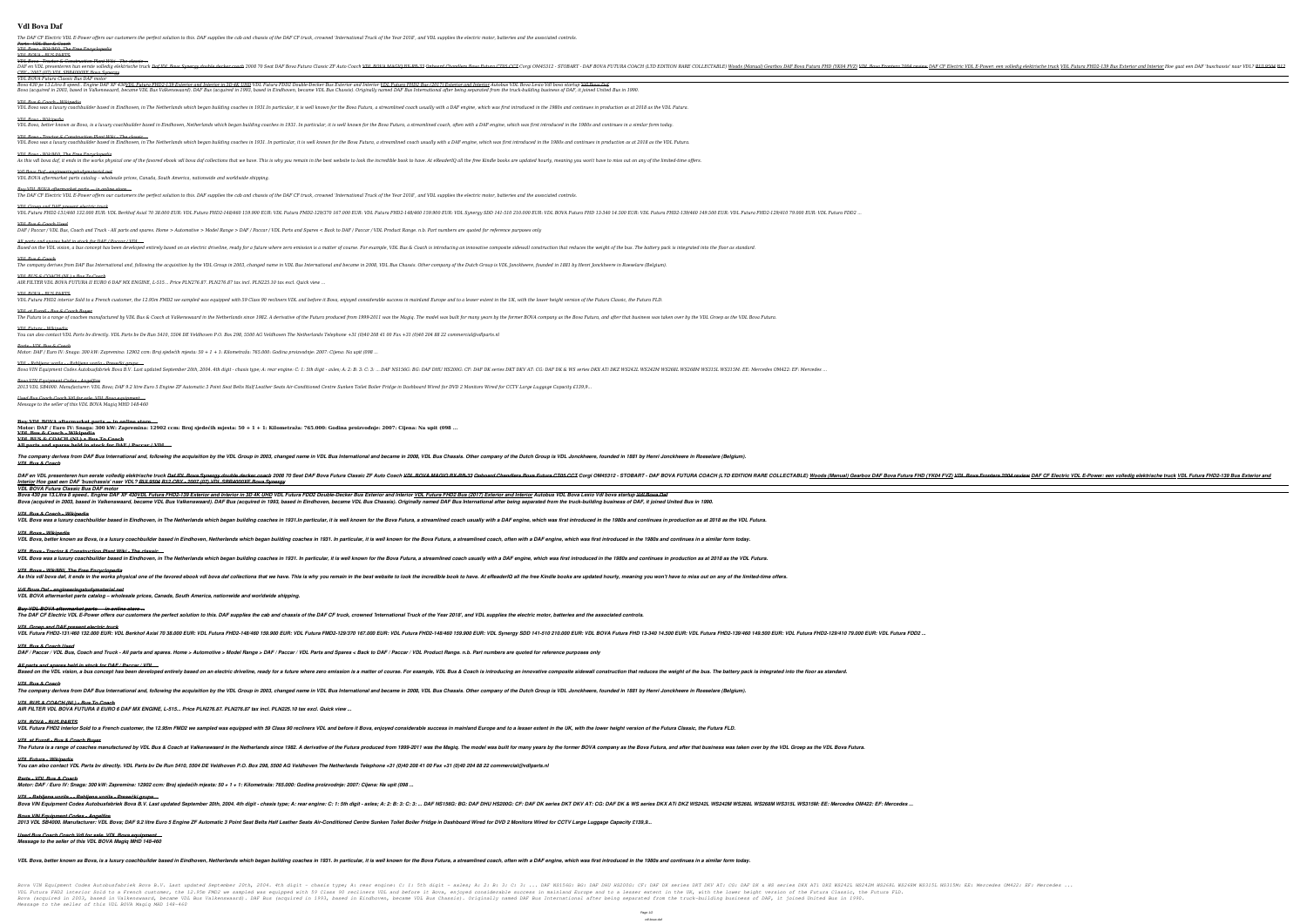# **Vdl Bova Daf**

The DAF CF Electric VDL E-Power offers our customers the perfect solution to this. DAF supplies the cab and chassis of the DAF CF truck, crowned 'International Truck of the Year 2018', and VDL supplies the electric motor, *Parts - VDL Bus & Coach*

### *VDL Bova - WikiMili, The Free Encyclopedia VDL BOVA - BUS PARTS*

*VDL Bova - Tractor & Construction Plant Wiki - The classic ...* DAF en VDL presenteren hun eerste volledig elektrische truck <del>Daf IDL Bova Synergy double decker coach</del> 2008 70 Seat DAF Bova Futura Classic ZF Auto Coach <del>VDL BOVA MAGIQ BX RB 33</del> Onboard Chandlers Bova Futura FHD2-139 Bu *CBY - 2007 (07) VDL SBR4000XE Bova Synergy*

*VDL BOVA Futura Classic Bus DAF motor*

Bova 430 ps 13.Litra 8 speed.. Engine DAF XF 430<u>VDL Futura FHD2-139 Exterior and Interior in 3D 4K UHD</u> VDL Futura FDD2 Double-Decker Bus Exterior and Interior <u>VDL Futura FHD2 Bus (2017) Exterior and Interior A</u>utobus VD Bova (acquired in 2003, based in Valkenswaard, became VDL Bus Valkenswaard). DAF Bus (acquired in 1993, based in Eindhoven, became VDL Bus Chassis). Originally named DAF Bus International after being separated from the tru

*Buy VDL BOVA aftermarket parts — in online store ...* The DAF CF Electric VDL E-Power offers our customers the perfect solution to this. DAF supplies the cab and chassis of the DAF CF truck, crowned 'International Truck of the Year 2018', and VDL supplies the electric motor,

### *VDL Bus & Coach - Wikipedia*

VDL Bova was a luxury coachbuilder based in Eindhoven, in The Netherlands which began building coaches in 1931.In particular, it is well known for the Bova Futura, a streamlined coach usually with a DAF engine, which was f *VDL Bova - Wikipedia* VDL Bova, better known as Bova, is a luxury coachbuilder based in Eindhoven, Netherlands which began building coaches in 1931. In particular, it is well known for the Bova Futura, a streamlined coach, often with a DAF engi *VDL Bova - Tractor & Construction Plant Wiki - The classic ...* VDL Bova was a luxury coachbuilder based in Eindhoven, in The Netherlands which began building coaches in 1931. In particular, it is well known for the Bova Futura, a streamlined coach usually with a DAF engine, which was

.. VDL Futura FHD2-131/460 132.000 EUR: VDL Berkhof Axial 70 38.000 EUR: VDL Futura FHD2-148/460 159.900 EUR: VDL Futura FMD2-129/370 167.000 EUR: VDL Futura FHD2-139/460 149.500 EUR: VDL Futura FHD 13-340 14.500 EUR: VDL *VDL Bus & Coach Used*

DAF/Paccar/VDL Bus, Coach and Truck - All parts and spares. Home > Automotive > Model Range > DAF/Paccar/VDL Parts and Spares < Back to DAF/Paccar/VDL Product Range. n.b. Part numbers are quoted for reference purposes only

*All parts and spares held in stock for DAF / Paccar / VDL ...* Based on the VDL vision, a bus concept has been developed entirely based on an electric driveline, ready for a future where zero emission is a matter of course. For example, VDL Bus & Coach is introducing an innovative com *VDL Bus & Coach* The company derives from DAF Bus International and, following the acquisition by the VDL Group in 2003, changed name in VDL Bus International and became in 2008, VDL Bus Chassis. Other company of the Dutch Group is VDL Jon

*VDL Bova - WikiMili, The Free Encyclopedia*

The Futura is a range of coaches manufactured by VDL Bus & Coach at Valkenswaard in the Netherlands since 1982. A derivative of the Futura produced from 1999-2011 was the Magiq. The model was built for many years by the fo *VDL Futura - Wikipedia You can also contact VDL Parts bv directly. VDL Parts bv De Run 5410, 5504 DE Veldhoven P.O. Box 298, 5500 AG Veldhoven The Netherlands Telephone +31 (0)40 208 41 00 Fax +31 (0)40 204 88 22 commercial@vdlparts.nl*

*Vdl Bova Daf - engineeringstudymaterial.net VDL BOVA aftermarket parts catalog – wholesale prices, Canada, South America, nationwide and worldwide shipping.*

# *VDL Groep and DAF present electric truck*

*VDL BUS & COACH (NL) • Bus To Coach AIR FILTER VDL BOVA FUTURA II EURO 6 DAF MX ENGINE, L-515... Price PLN276.87. PLN276.87 tax incl. PLN225.10 tax excl. Quick view ...*

### *VDL BOVA - BUS PARTS*

VDL Futura FHD2 interior Sold to a French customer, the 12.95m FMD2 we sampled was equipped with 59 Class 90 recliners VDL and before it Bova, enjoyed considerable success in mainland Europe and to a lesser extent in the U

# *VDL at Euro6 - Bus & Coach Buyer*

*Parts - VDL Bus & Coach*

# *Motor: DAF / Euro IV: Snaga: 300 kW: Zapremina: 12902 ccm: Broj sjedećih mjesta: 50 + 1 + 1: Kilometraža: 765.000: Godina proizvodnje: 2007: Cijena: Na upit (098 ...*

The company derives from DAF Bus International and, following the acquisition by the VDL Group in 2003, changed name in VDL Bus International and became in 2008, VDL Bus Chassis. Other company of the Dutch Group is VDL Jon *VDL BUS & COACH (NL) • Bus To Coach AIR FILTER VDL BOVA FUTURA II EURO 6 DAF MX ENGINE, L-515... Price PLN276.87. PLN276.87 tax incl. PLN225.10 tax excl. Quick view ...*

*VDL BOVA - BUS PARTS* VDL Futura FHD2 interior Sold to a French customer, the 12.95m FMD2 we sampled was equipped with 59 Class 90 recliners VDL and before it Bova, enjoyed considerable success in mainland Europe and to a lesser extent in the U

*VDL - Rabljena vozila - - Rabljena vozila - Presečki grupa ...*

Bova VIN Equipment Codes Autobusfabriek Bova B.V. Last updated September 20th, 2004. 4th digit - chasis type; A: rear engine: C: 1: 5th digit - axles; A: 2: B: 3: C: 3: .... DAF DK Series DKX ATi DKZ WS242L WS242L WS268L W *Bova VIN Equipment Codes - Angelfire* 2013 VDL SB4000. Manufacturer: VDL Bova; DAF 9.2 litre Euro 5 Engine ZF Automatic 3 Point Seat Belts Half Leather Seats Air-Conditioned Centre Sunken Toilet Boiler Fridge in Dashboard Wired for DVD 2 Monitors Wired for CCT

*VDL - Rabljena vozila - - Rabljena vozila - Presečki grupa ...* Bova VIN Equipment Codes Autobusfabriek Bova B.V. Last updated September 20th, 2004. 4th digit - chasis type; A: rear engine: C: 1: 5th digit - axles; A: 2: B: 3: C: 3: ... DAF DK & WS series DKX ATi DKZ WS242L WS242M WS26 *Bova VIN Equipment Codes - Angelfire* 2013 VDL SB4000. Manufacturer: VDL Bova; DAF 9.2 litre Euro 5 Engine ZF Automatic 3 Point Seat Belts Half Leather Seats Air-Conditioned Centre Sunken Toilet Boiler Fridge in Dashboard Wired for DVD 2 Monitors Wired for CCT

### *Used Bus Coach Coach Vdl for sale. VDL Bova equipment ... Message to the seller of this VDL BOVA Magiq MHD 148-460*

**Buy VDL BOVA aftermarket parts — in online store ...**

# **Motor: DAF / Euro IV: Snaga: 300 kW: Zapremina: 12902 ccm: Broj sjedećih mjesta: 50 + 1 + 1: Kilometraža: 765.000: Godina proizvodnje: 2007: Cijena: Na upit (098 ...**

## **VDL Bus & Coach - Wikipedia**

**VDL BUS & COACH (NL) • Bus To Coach All parts and spares held in stock for DAF / Paccar / VDL ...**

The company derives from DAF Bus International and, following the acquisition by the VDL Group in 2003, changed name in VDL Bus International and became in 2008, VDL Bus Chassis. Other company of the Dutch Group is VDL Jon *VDL Bus & Coach* DAFen VDL presenteren hun eerste volledig elektrische truck <del>Daf IDL Bova Synergy double decker coach</del> 2008 70 Seat DAF Bova Futura Classic ZF Auto Coach <del>VDL BOVA MAGIQ BX-RB-33 Onboard Chandlers Bova Futura CT05 CCT Corg</del> *Interior Hoe gaat een DAF 'buschassis' naar VDL? RUI 9504 B12 CBY - 2007 (07) VDL SBR4000XE Bova Synergy VDL BOVA Futura Classic Bus DAF motor* Bova 430 ps 13. Litra 8 speed.. Engine DAF XF 430VDL Futura FHD2-139 Exterior and Interior in 3D 4K UHD VDL Futura FDD2 Double-Decker Bus Exterior and Interior VDL Futura FHD2 Bus (2017) Exterior and Interior Autobus VDL B Bova (acquired in 2003, based in Valkenswaard, became VDL Bus Valkenswaard). DAF Bus (acquired in 1993, based in Eindhoven, became VDL Bus Chassis). Originally named DAF Bus International after being separated from the tru *VDL Bus & Coach - Wikipedia* VDL Bova was a luxurv coachbuilder based in Eindhoven, in The Netherlands which began building coaches in 1931.In particular, it is well known for the Bova Futura, a streamlined coach usually with a DAF engine, which was f *VDL Bova - Wikipedia* VDL Bova, better known as Bova, is a luxury coachbuilder based in Eindhoven, Netherlands which began building coaches in 1931. In particular, it is well known for the Bova Futura, a streamlined coach, often with a DAF engi *VDL Bova - Tractor & Construction Plant Wiki - The classic ...* VDL Bova was a luxury coachbuilder based in Eindhoven, in The Netherlands which began building coaches in 1931. In particular, it is well known for the Bova Futura, a streamlined coach usually with a DAF engine, which was *VDL Bova - WikiMili, The Free Encyclopedia* As this vdl bova daf, it ends in the works physical one of the favored ebook vdl bova daf collections that we have. This is why you remain in the best website to look the incredible book to have. At eReaderIQ all the free

.Bova VIN Equipment Codes Autobusfabriek Bova B.V. Last updated September 20th, 2004. 4th digit - chasis type, A: Ith digit - chasis type, A: Ith digit - axles, A: 2: B: 3: C: 3: ... DAF DK & WS series DKX ATi DKZ WS242L W VDL Futura FHD2 interior Sold to a French customer, the 12.95m FMD2 we sampled was equipped with 59 Class 90 recliners VDL and before it Bova, enjoyed considerable success in mainland Europe and to a lesser extent in the U Bova (acquired in 2003, based in Valkenswaard, became VDL Bus Valkenswaard). DAF Bus (acquired in 1993, based in Eindhoven, became VDL Bus Chassis). Originally named DAF Bus International after being separated from the tru *Message to the seller of this VDL BOVA Magiq MHD 148-460*

As this vdl bova daf, it ends in the works physical one of the favored ebook vdl bova daf collections that we have. This is why you remain in the best website to look the incredible book to have. At eReaderIQ all the free

# *Vdl Bova Daf - engineeringstudymaterial.net*

*VDL BOVA aftermarket parts catalog – wholesale prices, Canada, South America, nationwide and worldwide shipping.*

# *Buy VDL BOVA aftermarket parts — in online store ...*

The DAF CF Electric VDL E-Power offers our customers the perfect solution to this. DAF supplies the cab and chassis of the DAF CF truck, crowned 'International Truck of the Year 2018', and VDL supplies the electric motor,

*VDL Groep and DAF present electric truck* VDL Futura FHD2-131/460 132.000 EUR: VDL Berkhof Axial 70 38.000 EUR: VDL Futura FHD2-148/460 159.900 EUR: VDL Futura FHD 13-340 141-510 210.000 EUR: VDL Futura FHD2-129/370 167.000 EUR: VDL Futura FHD2-129/370 167.000 EUR *VDL Bus & Coach Used*

DAF / Paccar / VDL Bus, Coach and Truck - All parts and spares. Home > Automotive > Model Range > DAF / Paccar / VDL Parts and Spares < Back to DAF / Paccar / VDL Product Range. n.b. Part numbers are quoted for reference p

*All parts and spares held in stock for DAF / Paccar / VDL ...* Based on the VDL vision, a bus concept has been developed entirely based on an electric driveline, ready for a future where zero emission is a matter of course. For example, VDL Bus & Coach is introducing an innovative com *VDL Bus & Coach*

*VDL at Euro6 - Bus & Coach Buyer* The Futura is a range of coaches manufactured by VDL Bus & Coach at Valkenswaard in the Netherlands since 1982. A derivative of the Futura produced from 1999-2011 was the Bova Futura, and after that business was taken over *VDL Futura - Wikipedia You can also contact VDL Parts bv directly. VDL Parts bv De Run 5410, 5504 DE Veldhoven P.O. Box 298, 5500 AG Veldhoven The Netherlands Telephone +31 (0)40 208 41 00 Fax +31 (0)40 204 88 22 commercial@vdlparts.nl*

# *Parts - VDL Bus & Coach*

*Motor: DAF / Euro IV: Snaga: 300 kW: Zapremina: 12902 ccm: Broj sjedećih mjesta: 50 + 1 + 1: Kilometraža: 765.000: Godina proizvodnje: 2007: Cijena: Na upit (098 ...*

### *Used Bus Coach Coach Vdl for sale. VDL Bova equipment ... Message to the seller of this VDL BOVA Magiq MHD 148-460*

VDL Bova, better known as Bova, is a luxury coachbuilder based in Eindhoven, Netherlands which began building coaches in 1931. In particular, it is well known for the Bova Futura, a streamlined coach, often with a DAF engi